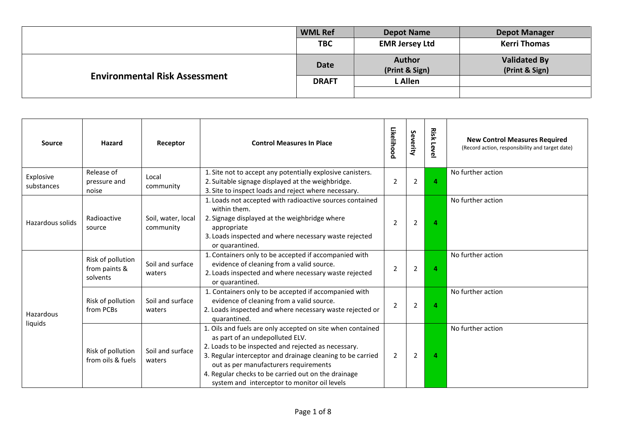|                                      | <b>WML Ref</b> | <b>Depot Name</b>               | <b>Depot Manager</b>                  |
|--------------------------------------|----------------|---------------------------------|---------------------------------------|
|                                      | <b>TBC</b>     | <b>EMR Jersey Ltd</b>           | <b>Kerri Thomas</b>                   |
|                                      | <b>Date</b>    | <b>Author</b><br>(Print & Sign) | <b>Validated By</b><br>(Print & Sign) |
| <b>Environmental Risk Assessment</b> | <b>DRAFT</b>   | L Allen                         |                                       |
|                                      |                |                                 |                                       |

| <b>Source</b>           | Hazard                                         | Receptor                        | <b>Control Measures In Place</b>                                                                                                                                                                                                                                                                                                                                   | Likelihood     | Severity       | <b>Risk Leve</b> | <b>New Control Measures Required</b><br>(Record action, responsibility and target date) |
|-------------------------|------------------------------------------------|---------------------------------|--------------------------------------------------------------------------------------------------------------------------------------------------------------------------------------------------------------------------------------------------------------------------------------------------------------------------------------------------------------------|----------------|----------------|------------------|-----------------------------------------------------------------------------------------|
| Explosive<br>substances | Release of<br>pressure and<br>noise            | Local<br>community              | 1. Site not to accept any potentially explosive canisters.<br>2. Suitable signage displayed at the weighbridge.<br>3. Site to inspect loads and reject where necessary.                                                                                                                                                                                            | 2              | $\overline{2}$ | 4                | No further action                                                                       |
| Hazardous solids        | Radioactive<br>source                          | Soil, water, local<br>community | 1. Loads not accepted with radioactive sources contained<br>within them.<br>2. Signage displayed at the weighbridge where<br>appropriate<br>3. Loads inspected and where necessary waste rejected<br>or quarantined.                                                                                                                                               | 2              | $\overline{2}$ | 4                | No further action                                                                       |
|                         | Risk of pollution<br>from paints &<br>solvents | Soil and surface<br>waters      | 1. Containers only to be accepted if accompanied with<br>evidence of cleaning from a valid source.<br>2. Loads inspected and where necessary waste rejected<br>or quarantined.                                                                                                                                                                                     | $\overline{2}$ | $\overline{2}$ | Δ                | No further action                                                                       |
| Hazardous               | Risk of pollution<br>from PCBs                 | Soil and surface<br>waters      | 1. Containers only to be accepted if accompanied with<br>evidence of cleaning from a valid source.<br>2. Loads inspected and where necessary waste rejected or<br>quarantined.                                                                                                                                                                                     | 2              | $\overline{2}$ | 4                | No further action                                                                       |
| liquids                 | Risk of pollution<br>from oils & fuels         | Soil and surface<br>waters      | 1. Oils and fuels are only accepted on site when contained<br>as part of an undepolluted ELV.<br>2. Loads to be inspected and rejected as necessary.<br>3. Regular interceptor and drainage cleaning to be carried<br>out as per manufacturers requirements<br>4. Regular checks to be carried out on the drainage<br>system and interceptor to monitor oil levels | $\overline{2}$ | $\overline{2}$ | 4                | No further action                                                                       |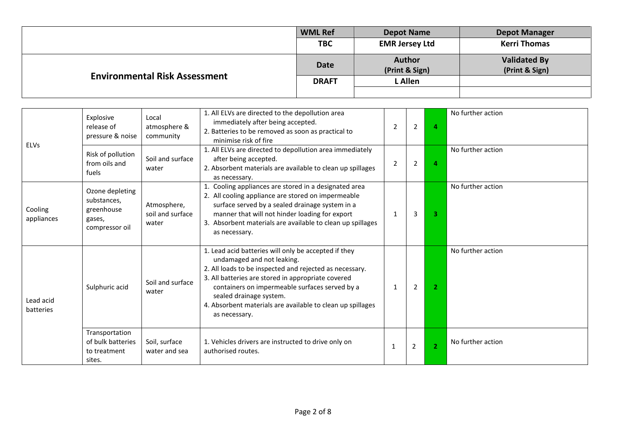|                                      | <b>WML Ref</b> | <b>Depot Name</b>               | <b>Depot Manager</b>                  |
|--------------------------------------|----------------|---------------------------------|---------------------------------------|
|                                      | <b>TBC</b>     | <b>EMR Jersey Ltd</b>           | <b>Kerri Thomas</b>                   |
|                                      | <b>Date</b>    | <b>Author</b><br>(Print & Sign) | <b>Validated By</b><br>(Print & Sign) |
| <b>Environmental Risk Assessment</b> | <b>DRAFT</b>   | L Allen                         |                                       |
|                                      |                |                                 |                                       |

|                        | Explosive<br>release of<br>pressure & noise                              | Local<br>atmosphere &<br>community       | 1. All ELVs are directed to the depollution area<br>immediately after being accepted.<br>2. Batteries to be removed as soon as practical to<br>minimise risk of fire                                                                                                                                                                                            | $\overline{2}$ | $\overline{2}$ | 4              | No further action |
|------------------------|--------------------------------------------------------------------------|------------------------------------------|-----------------------------------------------------------------------------------------------------------------------------------------------------------------------------------------------------------------------------------------------------------------------------------------------------------------------------------------------------------------|----------------|----------------|----------------|-------------------|
| <b>ELVs</b>            | Risk of pollution<br>from oils and<br>fuels                              | Soil and surface<br>water                | 1. All ELVs are directed to depollution area immediately<br>after being accepted.<br>2. Absorbent materials are available to clean up spillages<br>as necessary.                                                                                                                                                                                                | $\overline{2}$ | $\overline{2}$ | 4              | No further action |
| Cooling<br>appliances  | Ozone depleting<br>substances.<br>greenhouse<br>gases,<br>compressor oil | Atmosphere,<br>soil and surface<br>water | Cooling appliances are stored in a designated area<br>2. All cooling appliance are stored on impermeable<br>surface served by a sealed drainage system in a<br>manner that will not hinder loading for export<br>3. Absorbent materials are available to clean up spillages<br>as necessary.                                                                    | 1              | 3              | 3              | No further action |
| Lead acid<br>batteries | Sulphuric acid                                                           | Soil and surface<br>water                | 1. Lead acid batteries will only be accepted if they<br>undamaged and not leaking.<br>2. All loads to be inspected and rejected as necessary.<br>3. All batteries are stored in appropriate covered<br>containers on impermeable surfaces served by a<br>sealed drainage system.<br>4. Absorbent materials are available to clean up spillages<br>as necessary. | $\mathbf 1$    | $\overline{2}$ | $\overline{2}$ | No further action |
|                        | Transportation<br>of bulk batteries<br>to treatment<br>sites.            | Soil, surface<br>water and sea           | 1. Vehicles drivers are instructed to drive only on<br>authorised routes.                                                                                                                                                                                                                                                                                       | 1              | $\overline{2}$ | $\overline{2}$ | No further action |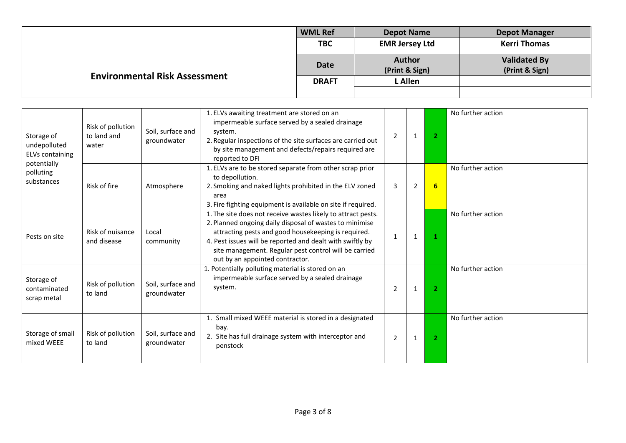|                                      | <b>WML Ref</b> | <b>Depot Name</b>               | <b>Depot Manager</b>                  |
|--------------------------------------|----------------|---------------------------------|---------------------------------------|
|                                      | <b>TBC</b>     | <b>EMR Jersey Ltd</b>           | <b>Kerri Thomas</b>                   |
|                                      | <b>Date</b>    | <b>Author</b><br>(Print & Sign) | <b>Validated By</b><br>(Print & Sign) |
| <b>Environmental Risk Assessment</b> | <b>DRAFT</b>   | L Allen                         |                                       |
|                                      |                |                                 |                                       |

| Storage of<br>undepolluted<br><b>ELVs containing</b> | Risk of pollution<br>to land and<br>water | Soil, surface and<br>groundwater | 1. ELVs awaiting treatment are stored on an<br>impermeable surface served by a sealed drainage<br>system.<br>2. Regular inspections of the site surfaces are carried out<br>by site management and defects/repairs required are<br>reported to DFI                                                                                      | 2              | 1 | 2              | No further action |
|------------------------------------------------------|-------------------------------------------|----------------------------------|-----------------------------------------------------------------------------------------------------------------------------------------------------------------------------------------------------------------------------------------------------------------------------------------------------------------------------------------|----------------|---|----------------|-------------------|
| potentially<br>polluting<br>substances               | Risk of fire                              | Atmosphere                       | 1. ELVs are to be stored separate from other scrap prior<br>to depollution.<br>2. Smoking and naked lights prohibited in the ELV zoned<br>area<br>3. Fire fighting equipment is available on site if required.                                                                                                                          | 3              | 2 | 6              | No further action |
| Pests on site                                        | Risk of nuisance<br>and disease           | Local<br>community               | 1. The site does not receive wastes likely to attract pests.<br>2. Planned ongoing daily disposal of wastes to minimise<br>attracting pests and good housekeeping is required.<br>4. Pest issues will be reported and dealt with swiftly by<br>site management. Regular pest control will be carried<br>out by an appointed contractor. | 1              | 1 |                | No further action |
| Storage of<br>contaminated<br>scrap metal            | Risk of pollution<br>to land              | Soil, surface and<br>groundwater | 1. Potentially polluting material is stored on an<br>impermeable surface served by a sealed drainage<br>system.                                                                                                                                                                                                                         | $\overline{2}$ | 1 | $\overline{2}$ | No further action |
| Storage of small<br>mixed WEEE                       | Risk of pollution<br>to land              | Soil, surface and<br>groundwater | 1. Small mixed WEEE material is stored in a designated<br>bay.<br>2. Site has full drainage system with interceptor and<br>penstock                                                                                                                                                                                                     | $\overline{2}$ | 1 | 2              | No further action |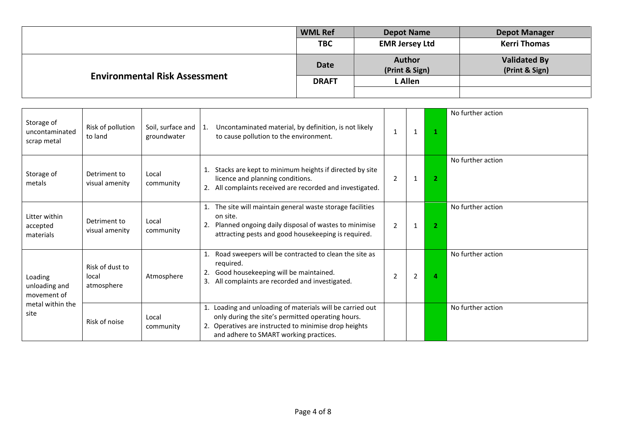|                                      | <b>WML Ref</b> | <b>Depot Name</b>               | <b>Depot Manager</b>                  |
|--------------------------------------|----------------|---------------------------------|---------------------------------------|
|                                      | <b>TBC</b>     | <b>EMR Jersey Ltd</b>           | <b>Kerri Thomas</b>                   |
|                                      | <b>Date</b>    | <b>Author</b><br>(Print & Sign) | <b>Validated By</b><br>(Print & Sign) |
| <b>Environmental Risk Assessment</b> | <b>DRAFT</b>   | L Allen                         |                                       |
|                                      |                |                                 |                                       |

| Storage of<br>uncontaminated<br>scrap metal | Risk of pollution<br>to land           | Soil, surface and<br>groundwater | Uncontaminated material, by definition, is not likely<br>  1.<br>to cause pollution to the environment.                                                                                                           | 1              | 1              |                | No further action |
|---------------------------------------------|----------------------------------------|----------------------------------|-------------------------------------------------------------------------------------------------------------------------------------------------------------------------------------------------------------------|----------------|----------------|----------------|-------------------|
| Storage of<br>metals                        | Detriment to<br>visual amenity         | Local<br>community               | Stacks are kept to minimum heights if directed by site<br>licence and planning conditions.<br>All complaints received are recorded and investigated.<br>2.                                                        | 2              | 1              | $\overline{2}$ | No further action |
| Litter within<br>accepted<br>materials      | Detriment to<br>visual amenity         | Local<br>community               | The site will maintain general waste storage facilities<br>on site.<br>Planned ongoing daily disposal of wastes to minimise<br>2.<br>attracting pests and good housekeeping is required.                          | $\overline{2}$ | 1              | $\overline{2}$ | No further action |
| Loading<br>unloading and<br>movement of     | Risk of dust to<br>local<br>atmosphere | Atmosphere                       | Road sweepers will be contracted to clean the site as<br>required.<br>Good housekeeping will be maintained.<br>All complaints are recorded and investigated.<br>3.                                                | 2              | $\overline{2}$ | 4              | No further action |
| metal within the<br>site                    | Risk of noise                          | Local<br>community               | Loading and unloading of materials will be carried out<br>1.<br>only during the site's permitted operating hours.<br>Operatives are instructed to minimise drop heights<br>and adhere to SMART working practices. |                |                |                | No further action |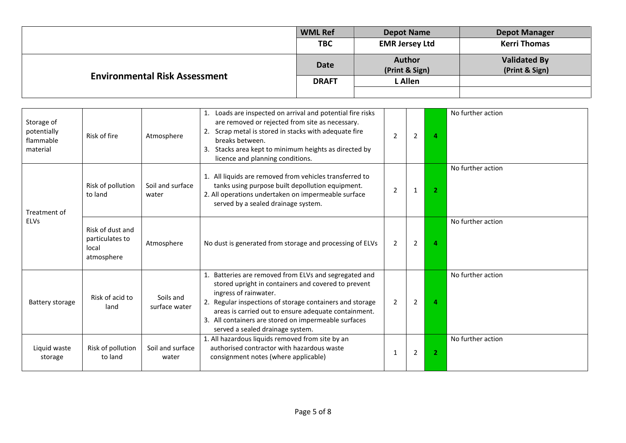|                                      | <b>WML Ref</b> | <b>Depot Name</b>        | <b>Depot Manager</b>                  |
|--------------------------------------|----------------|--------------------------|---------------------------------------|
|                                      | <b>TBC</b>     | <b>EMR Jersey Ltd</b>    | <b>Kerri Thomas</b>                   |
|                                      | <b>Date</b>    | Author<br>(Print & Sign) | <b>Validated By</b><br>(Print & Sign) |
| <b>Environmental Risk Assessment</b> | <b>DRAFT</b>   | L Allen                  |                                       |
|                                      |                |                          |                                       |

| Storage of<br>potentially<br>flammable<br>material | Risk of fire                                               | Atmosphere                 | Loads are inspected on arrival and potential fire risks<br>are removed or rejected from site as necessary.<br>Scrap metal is stored in stacks with adequate fire<br>breaks between.<br>Stacks area kept to minimum heights as directed by<br>licence and planning conditions.                                                                   | $\overline{2}$ | $\overline{2}$ | 4              | No further action |
|----------------------------------------------------|------------------------------------------------------------|----------------------------|-------------------------------------------------------------------------------------------------------------------------------------------------------------------------------------------------------------------------------------------------------------------------------------------------------------------------------------------------|----------------|----------------|----------------|-------------------|
| Treatment of                                       | Risk of pollution<br>to land                               | Soil and surface<br>water  | 1. All liquids are removed from vehicles transferred to<br>tanks using purpose built depollution equipment.<br>2. All operations undertaken on impermeable surface<br>served by a sealed drainage system.                                                                                                                                       | $\overline{2}$ | 1              | $\overline{2}$ | No further action |
| <b>ELVs</b>                                        | Risk of dust and<br>particulates to<br>local<br>atmosphere | Atmosphere                 | No dust is generated from storage and processing of ELVs                                                                                                                                                                                                                                                                                        | $\overline{2}$ | 2              | 4              | No further action |
| Battery storage                                    | Risk of acid to<br>land                                    | Soils and<br>surface water | Batteries are removed from ELVs and segregated and<br>stored upright in containers and covered to prevent<br>ingress of rainwater.<br>Regular inspections of storage containers and storage<br>areas is carried out to ensure adequate containment.<br>3. All containers are stored on impermeable surfaces<br>served a sealed drainage system. | $\overline{2}$ | 2              | $\overline{a}$ | No further action |
| Liquid waste<br>storage                            | Risk of pollution<br>to land                               | Soil and surface<br>water  | 1. All hazardous liquids removed from site by an<br>authorised contractor with hazardous waste<br>consignment notes (where applicable)                                                                                                                                                                                                          | 1              | 2              | $\overline{2}$ | No further action |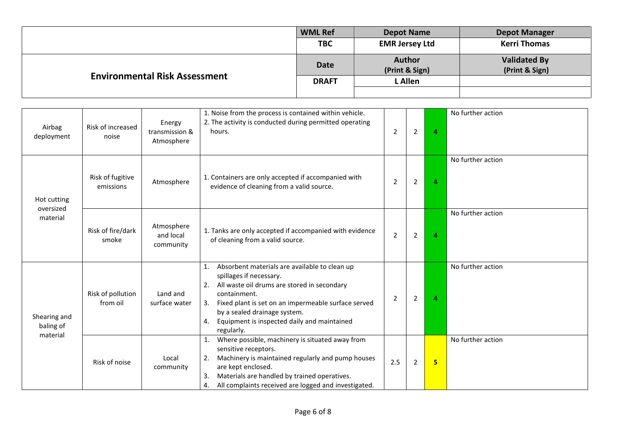|                                      | <b>WML Ref</b> | <b>Depot Name</b>               | <b>Depot Manager</b>                  |
|--------------------------------------|----------------|---------------------------------|---------------------------------------|
|                                      | <b>TBC</b>     | <b>EMR Jersey Ltd</b>           | <b>Kerri Thomas</b>                   |
|                                      | <b>Date</b>    | <b>Author</b><br>(Print & Sign) | <b>Validated By</b><br>(Print & Sign) |
| <b>Environmental Risk Assessment</b> | <b>DRAFT</b>   | L Allen                         |                                       |
|                                      |                |                                 |                                       |

| Airbag<br>deployment                  | Risk of increased<br>noise    | Energy<br>transmission &<br>Atmosphere | 1. Noise from the process is contained within vehicle.<br>2. The activity is conducted during permitted operating<br>hours.                                                                                                                                                                                         | 2              | $\mathbf 2$    | 4               | No further action |
|---------------------------------------|-------------------------------|----------------------------------------|---------------------------------------------------------------------------------------------------------------------------------------------------------------------------------------------------------------------------------------------------------------------------------------------------------------------|----------------|----------------|-----------------|-------------------|
| Hot cutting<br>oversized<br>material  | Risk of fugitive<br>emissions | Atmosphere                             | 1. Containers are only accepted if accompanied with<br>evidence of cleaning from a valid source.                                                                                                                                                                                                                    | $\overline{2}$ | $\overline{2}$ | 4               | No further action |
|                                       | Risk of fire/dark<br>smoke    | Atmosphere<br>and local<br>community   | 1. Tanks are only accepted if accompanied with evidence<br>of cleaning from a valid source.                                                                                                                                                                                                                         | $\overline{2}$ | $\overline{2}$ | 4               | No further action |
| Shearing and<br>baling of<br>material | Risk of pollution<br>from oil | Land and<br>surface water              | Absorbent materials are available to clean up<br>1.<br>spillages if necessary.<br>All waste oil drums are stored in secondary<br>2.<br>containment.<br>Fixed plant is set on an impermeable surface served<br>3.<br>by a sealed drainage system.<br>Equipment is inspected daily and maintained<br>4.<br>regularly. | $\overline{2}$ | 2              | 4               | No further action |
|                                       | Risk of noise                 | Local<br>community                     | Where possible, machinery is situated away from<br>sensitive receptors.<br>Machinery is maintained regularly and pump houses<br>2.<br>are kept enclosed.<br>Materials are handled by trained operatives.<br>3.<br>All complaints received are logged and investigated.<br>4.                                        | 2.5            | $\overline{2}$ | $5\overline{ }$ | No further action |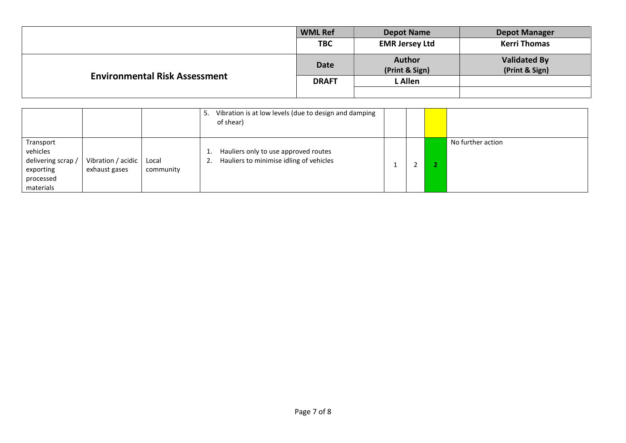|                                      | <b>WML Ref</b> | <b>Depot Name</b>               | <b>Depot Manager</b>                  |
|--------------------------------------|----------------|---------------------------------|---------------------------------------|
|                                      | <b>TBC</b>     | <b>EMR Jersey Ltd</b>           | <b>Kerri Thomas</b>                   |
|                                      | <b>Date</b>    | <b>Author</b><br>(Print & Sign) | <b>Validated By</b><br>(Print & Sign) |
| <b>Environmental Risk Assessment</b> | <b>DRAFT</b>   | L Allen                         |                                       |
|                                      |                |                                 |                                       |

|                                                                                    |                                     |                    | -5       | Vibration is at low levels (due to design and damping<br>of shear)              |  |                   |
|------------------------------------------------------------------------------------|-------------------------------------|--------------------|----------|---------------------------------------------------------------------------------|--|-------------------|
| Transport<br>vehicles<br>delivering scrap /<br>exporting<br>processed<br>materials | Vibration / acidic<br>exhaust gases | Local<br>community | ⊥.<br>2. | Hauliers only to use approved routes<br>Hauliers to minimise idling of vehicles |  | No further action |